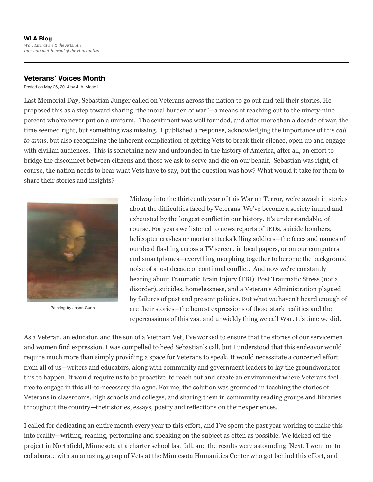## **WLA Blog** *War, Literature & the Arts: An International Journal of the Humanities*

## **Veterans' Voices Month**

Posted on May 26, 2014 by J. A. Moad II

Last Memorial Day, Sebastian Junger called on Veterans across the nation to go out and tell their stories. He proposed this as a step toward sharing "the moral burden of war"—a means of reaching out to the ninety-nine percent who've never put on a uniform. The sentiment was well founded, and after more than a decade of war, the time seemed right, but something was missing. I published a response, acknowledging the importance of this *call to arms*, but also recognizing the inherent complication of getting Vets to break their silence, open up and engage with civilian audiences. This is something new and unfounded in the history of America, after all, an effort to bridge the disconnect between citizens and those we ask to serve and die on our behalf. Sebastian was right, of course, the nation needs to hear what Vets have to say, but the question was how? What would it take for them to share their stories and insights?



Painting by Jason Gunn

Midway into the thirteenth year of this War on Terror, we're awash in stories about the difficulties faced by Veterans. We've become a society inured and exhausted by the longest conflict in our history. It's understandable, of course. For years we listened to news reports of IEDs, suicide bombers, helicopter crashes or mortar attacks killing soldiers—the faces and names of our dead flashing across a TV screen, in local papers, or on our computers and smartphones—everything morphing together to become the background noise of a lost decade of continual conflict. And now we're constantly hearing about Traumatic Brain Injury (TBI), Post Traumatic Stress (not a disorder), suicides, homelessness, and a Veteran's Administration plagued by failures of past and present policies. But what we haven't heard enough of are their stories—the honest expressions of those stark realities and the repercussions of this vast and unwieldy thing we call War. It's time we did.

As a Veteran, an educator, and the son of a Vietnam Vet, I've worked to ensure that the stories of our servicemen and women find expression. I was compelled to heed Sebastian's call, but I understood that this endeavor would require much more than simply providing a space for Veterans to speak. It would necessitate a concerted effort from all of us—writers and educators, along with community and government leaders to lay the groundwork for this to happen. It would require us to be proactive, to reach out and create an environment where Veterans feel free to engage in this all-to-necessary dialogue. For me, the solution was grounded in teaching the stories of Veterans in classrooms, high schools and colleges, and sharing them in community reading groups and libraries throughout the country—their stories, essays, poetry and reflections on their experiences.

I called for dedicating an entire month every year to this effort, and I've spent the past year working to make this into reality—writing, reading, performing and speaking on the subject as often as possible. We kicked off the project in Northfield, Minnesota at a charter school last fall, and the results were astounding. Next, I went on to collaborate with an amazing group of Vets at the Minnesota Humanities Center who got behind this effort, and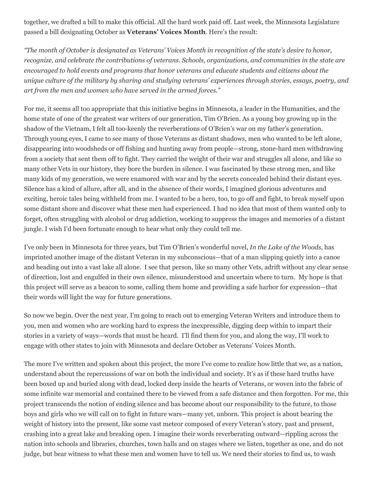together, we drafted a bill to make this official. All the hard work paid off. Last week, the Minnesota Legislature passed a bill designating October as **Veterans' Voices Month**. Here's the result:

"The month of October is designated as Veterans' Voices Month in recognition of the state's desire to honor, *recognize, and celebrate the contributions of veterans. Schools, organizations, and communities in the state are encouraged to hold events and programs that honor veterans and educate students and citizens about the* unique culture of the military by sharing and studying veterans' experiences through stories, essays, poetry, and *art from the men and women who have served in the armed forces."*

For me, it seems all too appropriate that this initiative begins in Minnesota, a leader in the Humanities, and the home state of one of the greatest war writers of our generation, Tim O'Brien. As a young boy growing up in the shadow of the Vietnam, I felt all too-keenly the reverberations of O'Brien's war on my father's generation. Through young eyes, I came to see many of those Veterans as distant shadows, men who wanted to be left alone, disappearing into woodsheds or off fishing and hunting away from people—strong, stone-hard men withdrawing from a society that sent them off to fight. They carried the weight of their war and struggles all alone, and like so many other Vets in our history, they bore the burden in silence. I was fascinated by these strong men, and like many kids of my generation, we were enamored with war and by the secrets concealed behind their distant eyes. Silence has a kind of allure, after all, and in the absence of their words, I imagined glorious adventures and exciting, heroic tales being withheld from me. I wanted to be a hero, too, to go off and fight, to break myself upon some distant shore and discover what these men had experienced. I had no idea that most of them wanted only to forget, often struggling with alcohol or drug addiction, working to suppress the images and memories of a distant jungle. I wish I'd been fortunate enough to hear what only they could tell me.

I've only been in Minnesota for three years, but Tim O'Brien's wonderful novel, *In the Lake of the Woods,* has imprinted another image of the distant Veteran in my subconscious—that of a man slipping quietly into a canoe and heading out into a vast lake all alone. I see that person, like so many other Vets, adrift without any clear sense of direction, lost and engulfed in their own silence, misunderstood and uncertain where to turn. My hope is that this project will serve as a beacon to some, calling them home and providing a safe harbor for expression—that their words will light the way for future generations.

So now we begin. Over the next year, I'm going to reach out to emerging Veteran Writers and introduce them to you, men and women who are working hard to express the inexpressible, digging deep within to impart their stories in a variety of ways—words that must be heard. I'll find them for you, and along the way, I'll work to engage with other states to join with Minnesota and declare October as Veterans' Voices Month.

The more I've written and spoken about this project, the more I've come to realize how little that we, as a nation, understand about the repercussions of war on both the individual and society. It's as if these hard truths have been boxed up and buried along with dead, locked deep inside the hearts of Veterans, or woven into the fabric of some infinite war memorial and contained there to be viewed from a safe distance and then forgotten. For me, this project transcends the notion of ending silence and has become about our responsibility to the future, to those boys and girls who we will call on to fight in future wars—many yet, unborn. This project is about bearing the weight of history into the present, like some vast meteor composed of every Veteran's story, past and present, crashing into a great lake and breaking open. I imagine their words reverberating outward—rippling across the nation into schools and libraries, churches, town halls and on stages where we listen, together as one, and do not judge, but bear witness to what these men and women have to tell us. We need their stories to find us, to wash